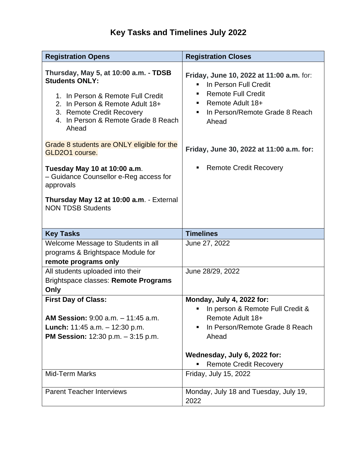## **Key Tasks and Timelines July 2022**

| <b>Registration Opens</b>                                                                                                                                                                                                                                                                                                                                                                                                                          | <b>Registration Closes</b>                                                                                                                                                                                                                           |
|----------------------------------------------------------------------------------------------------------------------------------------------------------------------------------------------------------------------------------------------------------------------------------------------------------------------------------------------------------------------------------------------------------------------------------------------------|------------------------------------------------------------------------------------------------------------------------------------------------------------------------------------------------------------------------------------------------------|
| Thursday, May 5, at 10:00 a.m. - TDSB<br><b>Students ONLY:</b><br>1. In Person & Remote Full Credit<br>2. In Person & Remote Adult 18+<br>3. Remote Credit Recovery<br>4. In Person & Remote Grade 8 Reach<br>Ahead<br>Grade 8 students are ONLY eligible for the<br>GLD2O1 course.<br>Tuesday May 10 at 10:00 a.m.<br>- Guidance Counsellor e-Reg access for<br>approvals<br>Thursday May 12 at 10:00 a.m. - External<br><b>NON TDSB Students</b> | Friday, June 10, 2022 at 11:00 a.m. for:<br>In Person Full Credit<br><b>Remote Full Credit</b><br>п<br>Remote Adult 18+<br>٠<br>In Person/Remote Grade 8 Reach<br>Ahead<br>Friday, June 30, 2022 at 11:00 a.m. for:<br><b>Remote Credit Recovery</b> |
| <b>Key Tasks</b>                                                                                                                                                                                                                                                                                                                                                                                                                                   | <b>Timelines</b>                                                                                                                                                                                                                                     |
| Welcome Message to Students in all<br>programs & Brightspace Module for<br>remote programs only                                                                                                                                                                                                                                                                                                                                                    | June 27, 2022                                                                                                                                                                                                                                        |
| All students uploaded into their                                                                                                                                                                                                                                                                                                                                                                                                                   | June 28/29, 2022                                                                                                                                                                                                                                     |
| Brightspace classes: Remote Programs                                                                                                                                                                                                                                                                                                                                                                                                               |                                                                                                                                                                                                                                                      |
| Only                                                                                                                                                                                                                                                                                                                                                                                                                                               |                                                                                                                                                                                                                                                      |
| <b>First Day of Class:</b><br><b>AM Session:</b> 9:00 a.m. - 11:45 a.m.<br><b>Lunch:</b> 11:45 a.m. $-$ 12:30 p.m.<br><b>PM Session:</b> $12:30$ p.m. $-3:15$ p.m.                                                                                                                                                                                                                                                                                 | Monday, July 4, 2022 for:<br>In person & Remote Full Credit &<br>Remote Adult 18+<br>In Person/Remote Grade 8 Reach<br>Ahead                                                                                                                         |
|                                                                                                                                                                                                                                                                                                                                                                                                                                                    | Wednesday, July 6, 2022 for:<br><b>Remote Credit Recovery</b>                                                                                                                                                                                        |
| <b>Mid-Term Marks</b>                                                                                                                                                                                                                                                                                                                                                                                                                              | Friday, July 15, 2022                                                                                                                                                                                                                                |
|                                                                                                                                                                                                                                                                                                                                                                                                                                                    |                                                                                                                                                                                                                                                      |